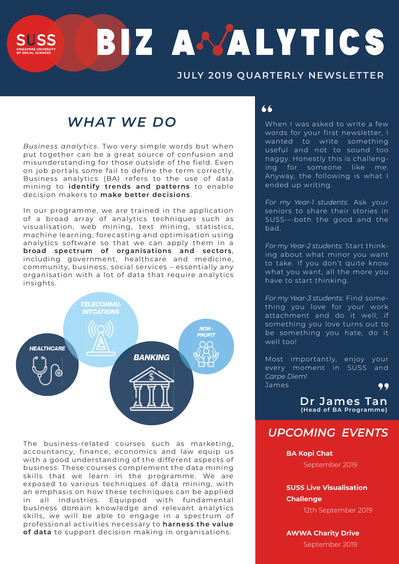# BIZ A VALYTICS

## **JULY 2019 QUARTERLY NEWSLETTER**

# *WHAT WE DO*

*Business analytics*. Two very simple words but when put together can be a great source of confusion and misunderstanding for those outside of the field. Even on job portals some fail to define the term correctly. Business analytics (BA) refers to the use of data mining to **identify trends and patterns** to enable decision makers to **make better decisions**.

In our programme, we are trained in the application of a broad array of analytics techniques such as visualisation, web mining, text mining, statistics, machine learning, forecasting and optimisation using analytics software so that we can apply them in a **broad spectrum of organisations and sectors**, including government, healthcare and medicine, community, business, social services – essentially any organisation with a lot of data that require analytics insights.



The business-related courses such as marketing, accountancy, finance, economics and law equip us with a good understanding of the different aspects of business. These courses complement the data mining skills that we learn in the programme. We are exposed to various techniques of data mining, with an emphasis on how these techniques can be applied in all industries. Equipped with fundamental business domain knowledge and relevant analytics skills, we will be able to engage in a spectrum of professional activities necessary to **harness the value of data** to support decision making in organisations.

### "

When I was asked to write a few words for your first newsletter, I wanted to write something useful and not to sound too naggy. Honestly this is challenging for someone like me. Anyway, the following is what I ended up writing.

*For my Year-1 students*: Ask your seniors to share their stories in SUSS---both the good and the bad.

*For my Year-2 students*: Start thinking about what minor you want to take. If you don't quite know what you want, all the more you have to start thinking.

*For my Year-3 students*: Find something you love for your work attachment and do it well; if something you love turns out to be something you hate, do it well too!

Most importantly, enjoy your every moment in SUSS and *Carpe Diem*! James

**Dr James Tan** " **(Head of BA Programme)**

## *UPCOMING EVENTS*

**BA Kopi Chat**

September 2019

**SUSS Live Visualisation Challenge**

12th September 2019

#### **AWWA Charity Drive**

September 2019